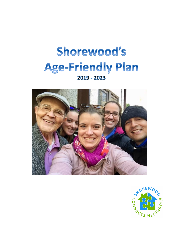



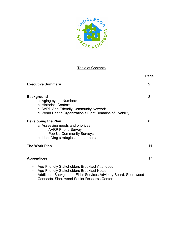

## **Table of Contents**

|                                                                                                                                                                                                                                                   | Page           |
|---------------------------------------------------------------------------------------------------------------------------------------------------------------------------------------------------------------------------------------------------|----------------|
| <b>Executive Summary</b>                                                                                                                                                                                                                          | $\overline{2}$ |
| <b>Background</b><br>a. Aging by the Numbers<br><b>b. Historical Context</b><br>c. AARP Age-Friendly Community Network<br>d. World Health Organization's Eight Domains of Livability                                                              | 3              |
| Developing the Plan<br>a. Assessing needs and priorities<br><b>AARP Phone Survey</b><br><b>Pop-Up Community Surveys</b><br>b. Identifying strategies and partners                                                                                 | 8              |
| <b>The Work Plan</b>                                                                                                                                                                                                                              | 11             |
| <b>Appendices</b>                                                                                                                                                                                                                                 | 17             |
| Age-Friendly Stakeholders Breakfast Attendees<br>$\bullet$<br>Age-Friendly Stakeholders Breakfast Notes<br>٠<br>Additional Background: Elder Services Advisory Board, Shorewood<br>$\bullet$<br><b>Connects, Shorewood Senior Resource Center</b> |                |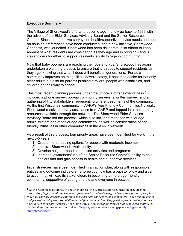#### **Executive Summary**

The Village of Shorewood's efforts to become age-friendly go back to 1999 with the advent of the Elder Services Advisory Board and the Senior Resource Center. Since that time, two surveys on health/supportive service needs and one on housing preferences have been conducted, and a new initiative, Shorewood Connects, was launched. Shorewood has been deliberate in its efforts to keep abreast of what residents are considering as they age and in bringing various stakeholders together to support residents' ability to "age in community".

Now that baby boomers are reaching their 60s and 70s, Shorewood has again undertaken a planning process to ensure that it is ready to support residents as they age, knowing that what it does will benefit all generations. For as a community improves on things like sidewalk safety, it becomes easier for not only older adults but also for parents pushing strollers, people with disabilities, and children on their way to school.

This most recent planning process under the umbrella of "age-friendliness"<sup>1</sup> included a phone survey, pop-up community surveys, a written survey, and a gathering of fifty stakeholders representing different segments of the community. As the first Wisconsin community in AARP's Age-Friendly Communities Network, Shorewood received survey assistance from AARP and tapped into the learning resources available through the network. The Shorewood Elder Services Advisory Board led the process, which also included meetings with Village administrators and other Village committees, as well as consideration of agefriendly initiatives in other communities in the AARP Network.

As a result of this process, four priority areas have been identified for work in the next 3-5 years:

- 1) Create more housing options for people with moderate incomes.
- 2) Improve Shorewood's walk-ability.
- 3) Develop neighborhood connection activities and programs.
- 4) Increase [awareness/use of the Senior Resource Center's] ability to help seniors find and gain access to health and supportive services.

Initial strategies have been identified in an action plan, along with responsible entities and outcome indicators. Shorewood now has a path to follow and a call to action that will lead its stakeholders in becoming a more age-friendly community, supportive of young and old and everyone in between.

 

 $^1$  As the recognized authority in age-friendliness, the World Health Organization provides this description, "*Age-friendly environments foster health and well-being and the participation of people as they age.* They are accessible equitable, inclusive, safe and secure, and supportive. They promote health and prevent or delay the onset of disease and functional decline. They provide people-centered services and support to enable recovery or to compensate for the loss of function so that people can continue to *do* the things that are important to them. " https://www.who.int/ageing/projects/age-friendly-

environments/en/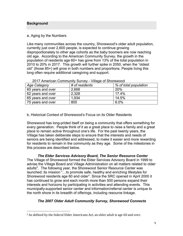#### **Background**

#### a. Aging by the Numbers

Like many communities across the country, Shorewood's older adult population, currently just over 2,600 people, is expected to continue growing disproportionately to other age cohorts as the baby boomers are now reaching old age. According to the American Community Survey, the growth in the population of residents age 60+ has gone from 13% of the total population in 2010 to 20% in 2017. This growth will further spike in 2050, when the "oldest old" (those 85+) will grow in both numbers and proportions. People living this long often require additional caregiving and support.

| Age Category      | # of residents | % of total population |
|-------------------|----------------|-----------------------|
| 60 years and over | 2,668          | <b>20%</b>            |
| 62 years and over | 2,328          | 17.4%                 |
| 65 years and over | 1.934          | 14.5%                 |
| 75 years and over | 805            | 6.0%                  |

#### 2017 American Community Survey - Village of Shorewood

#### b. Historical Context of Shorewood's Focus on its Older Residents

Shorewood has long-prided itself on being a community that offers something for every generation. People think of it as a great place to raise a family and a great place to remain active throughout one's life. For the past twenty years, the Village has taken deliberate steps to ensure that the interests and needs of seniors are being identified and addressed, to make it easier and more rewarding for residents to remain in the community as they age. Some of the milestones in this process are described below.

## *The Elder Services Advisory Board, The Senior Resource Center*

The Village of Shorewood formed the Elder Services Advisory Board in 1999 to advise the Village Board and Village Administration on all matters related to older adults<sup>2</sup>. The following year, the Shorewood Senior Resource Center was launched; its mission "…to promote safe, healthy and enriching lifestyles for Shorewood residents age 60 and older". Since the SRC opened in April 2000 it has continued to grow and each month more than 500 persons expand their interests and horizons by participating in activities and attending events. This municipally-supported senior center and information/referral center is unique to the north shore in its breadth of offerings, including resource linkage.

## *The 2007 Older Adult Community Survey, Shorewood Connects*

  $2$  As defined by the federal Older Americans Act, an older adult is age 60 and over.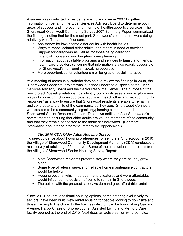A survey was conducted of residents age 55 and over in 2007 to gather information on behalf of the Elder Services Advisory Board to determine both areas of success and improvement in terms of health/supportive services. The Shorewood Older Adult Community Survey 2007 Summary Report summarized the findings, noting that for the most part, Shorewood's older adults were doing relatively well. The areas of concern:

- Assistance for low-income older adults with health issues
- Ways to reach isolated older adults, and others in need of services
- Support for caregivers as well as for those being cared for
- Financial counseling and long-term care planning
- Information about available programs and services to family and friends, health care providers (ensuring that information is also readily accessible for Shorewood's non-English speaking population)
- More opportunities for volunteerism or for greater social interaction.

At a meeting of community stakeholders held to review the findings in 2008, the "Shorewood Connects" project was launched under the auspices of the Elder Services Advisory Board and the Senior Resource Center. The purpose of the new project: "develop relationships, identify community assets, and explore new ways of connecting Shorewood older adults with each other and with community resources" as a way to ensure that Shorewood residents are able to remain in and contribute to the life of the community as they age. Shorewood Connects was created to be a community-organizing/planning companion to the Shorewood Senior Resource Center. These two entities reflect Shorewood's commitment to ensuring that older adults are valued members of the community and that they remain connected to the fabric of Shorewood. (For more information about these programs, refer to the Appendices.)

## *The 2010 CDA Older Adult Housing Survey*

To seek guidance about housing preferences for seniors in Shorewood, in 2010 the Village of Shorewood Community Development Authority (CDA) conducted a mail survey of adults age 55 and over. Some of the conclusions and results from the Village of Shorewood Senior Housing Survey Report:

- Most Shorewood residents prefer to stay where they are as they grow older.
- Some type of referral service for reliable home maintenance contractors would be helpful.
- Housing options, which had age-friendly features and were affordable, would influence the decision of some to remain in Shorewood.
- The option with the greatest supply vs demand gap: affordable rental units.

Since 2010, several additional housing options, some catering exclusively to seniors, have been built. New rental housing for people looking to downsize and those wanting to live closer to the business district, can be found along Oakland Avenue. HarborChase of Shorewood, an Assisted Living and Memory Care facility opened at the end of 2015. Next door, an active senior living complex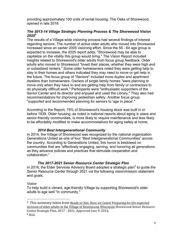providing approximately 100 units of rental housing, The Oaks of Shorewood, opened in late 2018.

### *The 2013-14 Village Strategic Planning Process & The Shorewood Vision 20253*

The results of a Village-wide visioning process had several findings of interest regarding seniors. The number of active older adults who moved into Shorewood increased since an earlier 2005 visioning effort. Since the 55 - 64 age group is expected to increase, the 2025 report adds, "Shorewood may be able to capitalize on the vitality this group would bring." The Vision Report included insights related to Shorewood's older adults from focus group feedback. Older adults who moved to Shorewood "loved their places, whether they were high end or subsidized renters." Some older homeowners noted they were getting help to stay in their homes and others indicated they may need to move or get help in the future. The focus group of "Seniors" included more duplex and apartment dwellers than homeowners. Owners of single family homes "were planning to move only when they have to and are getting help from family or contractors to do physically difficult work." Participants were "enthusiastic supporters of the Senior Center and its director and enjoyed and used the Library." They also had recommendations for improving pedestrian safety. Another focus group "supported and recommended planning for seniors to 'age in place'."

According to the Report, 75% of Shorewood's housing stock was built in or before 1939. Older housing, as noted in national reports about aging in place and senior-friendly communities, is more likely to require maintenance and less likely to be affordably modified to make accommodations for aging safely at home.

## *2014 Best Intergenerational Community*

In 2014, the Village of Shorewood was recognized by the national organization Generations United as one of four "Best Intergenerational Communities" across the country. According to Generations United, this honor is bestowed on communities that are "effectively engaging, serving, and honoring all generations as they advance policies and practices that stimulate cooperation and collaboration."

## *The 2017-2021 Senior Resource Center Strategic Plan*

In 2016, the Elder Services Advisory Board adopted a strategic plan<sup>4</sup> to guide the Senior Resource Center through 2021 via the following vision/mission statement and goals.

#### *Vision*

 

To help build a vibrant, age-friendly Village by supporting Shorewood's older adults to age well "in community."

<sup>&</sup>lt;sup>3</sup> This summary taken from Ready or Not, Here we Come! Preparing for the expected increase of older adults in the Village of Shorewood, Wisconsin Shorewood Senior Resource

Center Strategic Plan, 2017 - 2021, Approved June 9, 2016. <sup>4</sup> Ibid.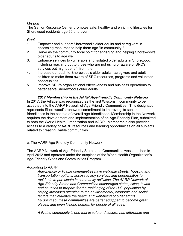## *Mission*

The Senior Resource Center promotes safe, healthy and enriching lifestyles for Shorewood residents age 60 and over.

#### *Goals*

- 1. Empower and support Shorewood's older adults and caregivers in accessing resources to help them age "in community."
- 2. Serve as the community focal point for engaging and helping Shorewood's older adults to age well.
- 3. Enhance services to vulnerable and isolated older adults in Shorewood, including reaching out to those who are not using or aware of SRC's services but might benefit from them.
- 4. Increase outreach to Shorewood's older adults, caregivers and adult children to make them aware of SRC resources, programs and volunteer opportunities.
- 5. Improve SRC's organizational effectiveness and business operations to better serve Shorewood's older adults.

#### *2017 Membership in the AARP Age-Friendly Community Network*

In 2017, the Village was recognized as the first Wisconsin community to be accepted into the AARP Network of Age-Friendly Communities. This designation represents Shorewood's renewed commitment to improving its seniorfriendliness in the context of overall age-friendliness. Membership in the Network requires the development and implementation of an Age-Friendly Plan, submitted to both the World Health Organization and AARP. Membership also provides access to a variety of AARP resources and learning opportunities on all subjects related to creating livable communities.

## c. The AARP Age-Friendly Community Network

The AARP Network of Age-Friendly States and Communities was launched in April 2012 and operates under the auspices of the World Health Organization's Age-Friendly Cities and Communities Program.

## According to AARP,

*Age-friendly or livable communities have walkable streets, housing and transportation options, access to key services and opportunities for residents to participate in community activities. The AARP Network of Age-Friendly States and Communities encourages states, cities, towns and counties to prepare for the rapid aging of the U.S. population by paying increased attention to the environmental, economic and social factors that influence the health and well-being of older adults. By doing so, these communities are better equipped to become great places, and even lifelong homes, for people of all ages.* 

*A livable community is one that is safe and secure, has affordable and*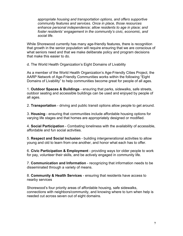*appropriate housing and transportation options, and offers supportive community features and services. Once in place, those resources enhance personal independence; allow residents to age in place; and foster residents' engagement in the community's civic, economic, and social life.* 

While Shorewood currently has many age-friendly features, there is recognition that growth in the senior population will require ensuring that we are conscious of what seniors need and that we make deliberate policy and program decisions that make this easier to do.

d. The World Health Organization's Eight Domains of Livability

As a member of the World Health Organization's Age-Friendly Cities Project, the AARP Network of Age-Friendly Communities works within the following "Eight Domains of Livability" to help communities become great for people of all ages.

1. **Outdoor Spaces & Buildings** - ensuring that parks, sidewalks, safe streets, outdoor seating and accessible buildings can be used and enjoyed by people of all ages.

2. **Transportation** - driving and public transit options allow people to get around.

3. **Housing** - ensuring that communities include affordable housing options for varying life stages and that homes are appropriately designed or modified.

4. **Social Participation** - Combating loneliness with the availability of accessible, affordable and fun social activities.

5. **Respect and Social Inclusion** - building intergenerational activities to allow young and old to learn from one another, and honor what each has to offer.

6. **Civic Participation & Employment** - providing ways tor older people to work for pay, volunteer their skills, and be actively engaged in community life.

7. **Communication and Information** - recognizing that information needs to be disseminated through a variety of means.

8. **Community & Health Services** - ensuring that residents have access to nearby services

Shorewood's four priority areas of affordable housing, safe sidewalks, connections with neighbors/community, and knowing where to turn when help is needed cut across seven out of eight domains.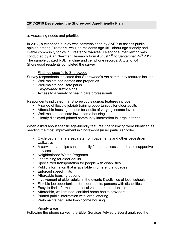## **2017-2019 Developing the Shorewood Age-Friendly Plan**

#### a. Assessing needs and priorities

In 2017, a telephone survey was commissioned by AARP to assess public opinion among Greater Milwaukee residents age 45+ about age-friendly and livable community topics in Greater Milwaukee. Telephone interviewing was conducted by Alan Newman Research from August  $3<sup>rd</sup>$  to September  $24<sup>th</sup>$  2017. The sample utilized RDD landline and cell phone records. A total of 64 Shorewood residents completed the survey.

#### Findings specific to Shorewood

Survey respondents indicated that Shorewood's *top* community features include

- Well-maintained homes and properties
- Well-maintained, safe parks
- Easy-to-read traffic signs
- Access to a variety of health care professionals

Respondents indicated that Shorewood's *bottom* features include

- A range of flexible job/job training opportunities for older adults
- Affordable housing options for adults of varying income levels
- Well-maintained, safe low-income housing
- Clearly displayed printed community information in large lettering.

When asked about specific age-friendly features, the following were identified as needing the most improvement in Shorewood (in no particular order)

- Cycle paths that are separate from pavements and other pedestrian walkways
- A service that helps seniors easily find and access health and supportive services
- Neighborhood Watch Programs
- Job training for older adults
- Specialized transportation for people with disabilities
- Public information that is available in different languages
- Enforced speed limits
- Affordable housing options
- Involvement of older adults in the events & activities of local schools
- Flexible job opportunities for older adults, persons with disabilities
- Easy-to-find information on local volunteer opportunities
- Affordable, well-trained, certified home health providers
- Printed public information with large lettering
- Well-maintained, safe low-income housing

#### Priority areas

Following the phone survey, the Elder Services Advisory Board analyzed the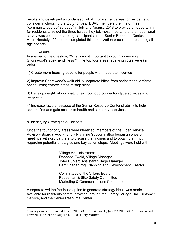results and developed a condensed list of improvement areas for residents to consider in choosing the top priorities. ESAB members then held three "community pop-up" surveys<sup>5</sup> in July and August, 2018 to provide an opportunity for residents to select the three issues they felt most important, and an additional survey was conducted among participants at the Senior Resource Center. Approximately 120 people completed this prioritization process, representing all age cohorts.

#### Results

In answer to the question, "What's most important to you in increasing Shorewood's age-friendliness?" The top four areas receiving votes were (in order)

1) Create more housing options for people with moderate incomes

2) Improve Shorewood's walk-ability: separate bikes from pedestrians; enforce speed limits; enforce stops at stop signs

3) Develop neighborhood watch/neighborhood connection type activities and programs

4) Increase [awareness/use of the Senior Resource Center's] ability to help seniors find and gain access to health and supportive services

b. Identifying Strategies & Partners

 

Once the four priority areas were identified, members of the Elder Service Advisory Board's Age-Friendly Planning Subcommittee began a series of meetings with key partners to discuss the findings and to obtain their input regarding potential strategies and key action steps. Meetings were held with

> Village Administrators: Rebecca Ewald, Village Manager Tyler Burkart, Assistant Village Manager Bart Griepentrog, Planning and Development Director

Committees of the Village Board: Pedestrian & Bike Safety Committee Marketing & Communications Committee

A separate written feedback option to generate strategy ideas was made available for residents communitywide through the Library, Village Hall Customer Service, and the Senior Resource Center.

 $5$  Surveys were conducted July 9, 2018 @ Coffee & Bagels; July 29, 2018 @ The Shorewood Farmers' Market and August 1, 2018 @ City Market.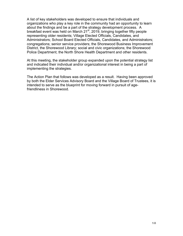A list of key stakeholders was developed to ensure that individuals and organizations who play a key role in the community had an opportunity to learn about the findings and be a part of the strategy development process. A breakfast event was held on March 21<sup>st</sup>, 2019, bringing together fifty people representing older residents; Village Elected Officials, Candidates, and Administrators; School Board Elected Officials, Candidates, and Administrators; congregations; senior service providers; the Shorewood Business Improvement District, the Shorewood Library; social and civic organizations; the Shorewood Police Department; the North Shore Health Department and other residents.

At this meeting, the stakeholder group expanded upon the potential strategy list and indicated their individual and/or organizational interest in being a part of implementing the strategies.

The Action Plan that follows was developed as a result. Having been approved by both the Elder Services Advisory Board and the Village Board of Trustees, it is intended to serve as the blueprint for moving forward in pursuit of agefriendliness in Shorewood.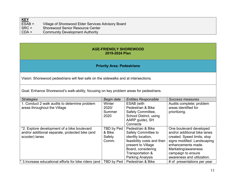| <b>KEY</b>    |                                                    |
|---------------|----------------------------------------------------|
| $ESAB =$      | Village of Shorewood Elder Services Advisory Board |
| $ $ SRC =     | <b>Shorewood Senior Resource Center</b>            |
| $\vert$ CDA = | <b>Community Development Authority</b>             |

#### **AGE-FRIENDLY SHOREWOOD 2019-2024 Plan**

## **Priority Area: Pedestrians**

Vision: Shorewood pedestrians will feel safe on the sidewalks and at intersections.

Goal: Enhance Shorewood's walk-ability, focusing on key problem areas for pedestrians.

| <b>Strategies</b>                                      | Begin date | <b>Entities Responsible</b> | Success measures             |
|--------------------------------------------------------|------------|-----------------------------|------------------------------|
| 1. Conduct 2 walk audits to determine problem          | Winter     | ESAB (with                  | Audits complete; problem     |
| areas throughout the Village                           | 2020/      | Pedestrian & Bike           | areas identified for         |
|                                                        | Summer     | Safety Committee,           | prioritizing.                |
|                                                        | 2020       | School District, using      |                              |
|                                                        |            | AARP guide), SH             |                              |
|                                                        |            |                             |                              |
|                                                        |            | Connects                    |                              |
| *2. Explore development of a bike boulevard            | TBD by Ped | Pedestrian & Bike           | One boulevard developed      |
| and/or additional separate, protected bike (and        | & Bike     | Safety Committee to         | and/or additional bike lanes |
| scooter) lanes                                         | Safety     | idenfity location,          | created. Speed limits, stop  |
|                                                        | Comm.      | feasibility costs and then  | signs modified. Landscaping  |
|                                                        |            | present to Village          | enhancements made.           |
|                                                        |            | Board, considering          | Marketing/awareness          |
|                                                        |            | Transportation &            | campaign to ensure           |
|                                                        |            | <b>Parking Analysis</b>     | awareness and utilization.   |
| * 3. Increase educational efforts for bike riders (and | TBD by Ped | Pedestrian & Bike           | # of presentations per year  |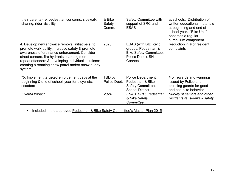| their parents) re: pedestrian concerns, sidewalk<br>sharing, rider visibility                                                                                                                                                                                                                                                      | & Bike<br>Safety<br>Comm. | Safety Committee with<br>support of SRC and<br><b>ESAB</b>                                                      | at schools. Distribution of<br>written educational materials<br>at beginning and end of<br>school year. "Bike Unit"<br>becomes a regular<br>curriculum component. |
|------------------------------------------------------------------------------------------------------------------------------------------------------------------------------------------------------------------------------------------------------------------------------------------------------------------------------------|---------------------------|-----------------------------------------------------------------------------------------------------------------|-------------------------------------------------------------------------------------------------------------------------------------------------------------------|
| $ 4.$ Develop new snow/ice removal initiative(s) to<br>promote walk-ability, increase safety & promote<br>awareness of ordinance enforcement. Consider<br>street corners, fire hydrants; learning more about<br>repeat offenders & developing individual solutions;<br>creating a roaming snow patrol and/or snow buddy<br>system. | 2020                      | ESAB (with BID, civic<br>groups, Pedestrian &<br><b>Bike Safety Committee,</b><br>Police Dept.), SH<br>Connects | Reduction in # of resident<br>complaints                                                                                                                          |
| *5. Implement targeted enforcement days at the<br>beginning & end of school year for bicyclists,<br>scooters                                                                                                                                                                                                                       | TBD by<br>Police Dept.    | Police Department,<br>Pedestrian & Bike<br>Safety Committee,<br><b>School District</b>                          | # of rewards and warnings<br>issued by Police and<br>crossing guards for good<br>and bad bike behavior                                                            |
| Overall Impact                                                                                                                                                                                                                                                                                                                     | 2024                      | ESAB, SRC, Pedestrian<br>& Bike Safety<br>Committee                                                             | Survey of seniors and other<br>residents re: sidewalk safety                                                                                                      |

• Included in the approved Pedestrian & Bike Safety Committee's Master Plan 2015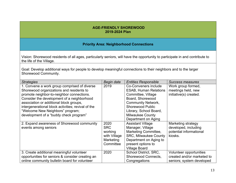#### **AGE-FRIENDLY SHOREWOOD 2019-2024 Plan**

#### **Priority Area: Neighborhood Connections**

Vision: Shorewood residents of all ages, particularly seniors, will have the opportunity to participate in and contribute to the life of the Village.

Goal: Develop additional ways for people to develop meaningful connections to their neighbors and to the larger Shorewood Community.

| <b>Strategies</b>                                  | Begin date   | <b>Entities Responsible</b>  | Success measures           |
|----------------------------------------------------|--------------|------------------------------|----------------------------|
| 1. Convene a work group comprised of diverse       | 2019         | Co-Conveners include         | Work group formed,         |
| Shorewood organizations and residents to           |              | <b>ESAB, Human Relations</b> | meetings held, new         |
| promote neighbor-to-neighbor connections.          |              | Committee, Village           | initiative(s) created.     |
| Consider the development of a neighborhood         |              | Board, Shorewood             |                            |
| association or additional block groups,            |              | <b>Community Network,</b>    |                            |
| intergenerational block activities; revival of the |              | <b>Shorewood Public</b>      |                            |
| "Welcome New Neighbors" program;                   |              | Library, School Board,       |                            |
| development of a "buddy check program"             |              | <b>Milwaukee County</b>      |                            |
|                                                    |              | Department on Aging          |                            |
| 2. Expand awareness of Shorewood community         | 2020         | <b>Assistant Village</b>     | Marketing strategy         |
| events among seniors                               | <b>SRC</b>   | Manager, Village             | developed, including       |
|                                                    | working      | Marketing Committee,         | potential informational    |
|                                                    | with Village | <b>SRC, Milwaukee County</b> | kiosks.                    |
|                                                    | Marketing    | Department on Aging to       |                            |
|                                                    | Committee    | present options to           |                            |
|                                                    |              | <b>Village Board</b>         |                            |
| 3. Create additional meaningful volunteer          | 2020         | School District, SRC,        | Volunteer opportunities    |
| opportunities for seniors & consider creating an   |              | Shorewood Connects,          | created and/or marketed to |
| online community bulletin board for volunteer      |              | Congregations                | seniors; system developed  |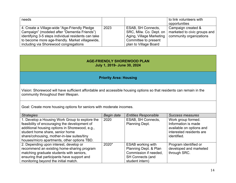| needs                                               |      |                          | to link volunteers with      |
|-----------------------------------------------------|------|--------------------------|------------------------------|
|                                                     |      |                          | opportunities                |
| 4. Create a Village-wide "Age-Friendly Pledge       | 2023 | ESAB, SH Connects,       | Campaign created &           |
| Campaign" (modeled after "Dementia Friends")        |      | SRC, Milw. Co. Dept. on  | marketed to civic groups and |
| identifying 3-5 steps individual residents can take |      | Aging, Village Marketing | community organizations      |
| to become more age-friendly. Market villagewide,    |      | Committee to present     |                              |
| including via Shorewood congregations               |      | plan to Village Board    |                              |

## **AGE-FRIENDLY SHOREWOOD PLAN July 1, 2019- June 30, 2024**

## **Priority Area: Housing**

Vision: Shorewood will have sufficient affordable and accessible housing options so that residents can remain in the community throughout their lifespan.

Goal: Create more housing options for seniors with moderate incomes.

| <b>Strategies</b>                                                                               | Begin date | <b>Entities Responsible</b>                 | <b>Success measures</b>                   |
|-------------------------------------------------------------------------------------------------|------------|---------------------------------------------|-------------------------------------------|
| 1. Develop a Housing Work Group to explore the<br>feasibility of encouraging the development of | 2020       | ESAB, SH Connects,<br><b>Planning Dept.</b> | Work group formed.<br>Information is made |
| additional housing options in Shorewood, e.g.,                                                  |            |                                             | available on options and                  |
| student home share, senior home                                                                 |            |                                             | interested residents are                  |
| share/cohousing, mother-in-law suites/tiny<br>houses/micro apartments, other options TBD.       |            |                                             | identified.                               |
| 2. Depending upon interest, develop or                                                          | 2020*      | <b>ESAB working with</b>                    | Program identified or                     |
| recommend an existing home-sharing program                                                      |            | Planning Dept. & Plan                       | developed and marketed                    |
| matching graduate students with seniors,                                                        |            | Commission if needed,                       | through SRC.                              |
| ensuring that participants have support and                                                     |            | <b>SH Connects (and</b>                     |                                           |
| monitoring beyond the initial match.                                                            |            | student intern)                             |                                           |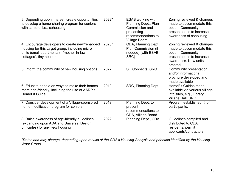| 3. Depending upon interest, create opportunities<br>to develop a home-sharing program for seniors<br>with seniors, i.e., cohousing                                     | 2022* | <b>ESAB working with</b><br>Planning Dept., Plan<br>Commission and<br>presenting<br>recommendations to<br><b>Village Board</b> | Zoning reviewed & changes<br>made to accommodate this<br>option. Community<br>presentations to increase<br>awareness of cohousing.          |
|------------------------------------------------------------------------------------------------------------------------------------------------------------------------|-------|--------------------------------------------------------------------------------------------------------------------------------|---------------------------------------------------------------------------------------------------------------------------------------------|
| 4. Encourage developers to create new/rehabbed<br>housing for this target group, including micro<br>units (small apartments), "mother-in-law<br>cottages", tiny houses | 2023* | CDA, Planning Dept.,<br>Plan Commission (if<br>needed) (with ESAB,<br>SRC)                                                     | Zoning reviewed & changes<br>made to accommodate this<br>option. Community<br>presentations to increase<br>awareness. New units<br>created. |
| 5. Inform the community of new housing options                                                                                                                         | 2022  | <b>SH Connects, SRC</b>                                                                                                        | Community presentation<br>and/or informational<br>brochure developed and<br>made available                                                  |
| 6. Educate people on ways to make their homes<br>more age-friendly, including the use of AARP's<br><b>HomeFit Guide</b>                                                | 2019  | SRC, Planning Dept.                                                                                                            | <b>HomeFit Guides made</b><br>available via various Village<br>info sites, e.g., Library,<br>Village Hall, SRC                              |
| 7. Consider development of a Village-sponsored<br>home modification program for seniors                                                                                | 2019  | Planning Dept. to<br>present<br>recommendations to<br>CDA, Village Board                                                       | Program established. # of<br>participants.                                                                                                  |
| 8. Raise awareness of age-friendly guidelines<br>(expanding upon ADA and Universal Design<br>principles) for any new housing                                           | 2022  | Planning Dept., CDA                                                                                                            | Guidelines compiled and<br>distributed to CDA,<br>residents, permit<br>applicants/contractors                                               |

*\*Dates and may change, depending upon results of the CDA's Housing Analysis and priorities identified by the Housing Work Group.*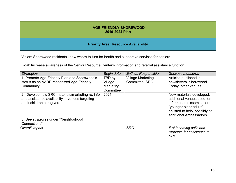#### **AGE-FRIENDLY SHOREWOOD 2019-2024 Plan**

#### **Priority Area: Resource Availability**

Vision: Shorewood residents know where to turn for health and supportive services for seniors.

Goal: Increase awareness of the Senior Resource Center's information and referral assistance function.

| <b>Strategies</b>                                                                                                               | Begin date                                  | <b>Entities Responsible</b>                | Success measures                                                                                                                                                          |
|---------------------------------------------------------------------------------------------------------------------------------|---------------------------------------------|--------------------------------------------|---------------------------------------------------------------------------------------------------------------------------------------------------------------------------|
| 1. Promote Age-Friendly Plan and Shorewood's<br>status as an AARP recognized Age-Friendly<br>Community                          | TBD by<br>Village<br>Marketing<br>Committee | <b>Village Marketing</b><br>Committee, SRC | Articles published in<br>newsletters, Shorewood<br>Today, other venues                                                                                                    |
| 2. Develop new SRC materials/marketing re: info<br>and assistance availability in venues targeting<br>adult children caregivers | 2021                                        |                                            | New materials developed;<br>additional venues used for<br>information dissemination;<br>"younger older adults"<br>enlisted to help, possibly as<br>additional Ambassadors |
| 3. See strategies under "Neighborhood<br>Connections"                                                                           |                                             |                                            |                                                                                                                                                                           |
| Overall impact                                                                                                                  |                                             | <b>SRC</b>                                 | # of incoming calls and<br>requests for assistance to<br>SRC.                                                                                                             |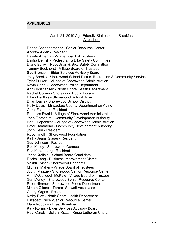#### **APPENDICES**

#### March 21, 2019 Age-Friendly Stakeholders Breakfast **Attendees**

Donna Aschenbrenner - Senior Resource Center Andrew Alden - Resident Davida Amenta - Village Board of Trustees Dzidra Benish - Pedestrian & Bike Safety Committee Diane Barry - Pedestrian & Bike Safety Committee Tammy Bockhorst - Village Board of Trustees Sue Bronson - Elder Services Advisory Board Jody Brooks - Shorewood School District Recreation & Community Services Tyler Burkart - Village of Shorewood Administration Kevin Carini - Shorewood Police Department Ann Christiansen - North Shore Health Department Rachel Collins - Shorewood Public Library Hilary DeBlois - Shorewood School Board Brian Davis - Shorewood School District Holly Davis - Milwaukee County Department on Aging Carol Eschner - Resident Rebecca Ewald - Village of Shorewood Administration John Florsheim - Community Development Authority Bart Griepentrog - Village of Shorewood Administration Peter Hammond - Community Development Authority John Hein - Resident Rose Ianelli - Shorewood Foundation Kathy Jeans Glaser - Resident Guy Johnson - Resident Sue Kelley - Shorewood Connects Sue Kohlenberg - Resident Janet Kreilein - School Board Candidate Ericka Lang - Business Improvement District Vashti Lozier - Shorewood Connects Michael Maher - Village Board of Trustees Judith Mazzie - Shorewood Senior Resource Center Ann McCullough McKaig - Village Board of Trustees Gail Morley - Shorewood Senior Resource Center Peter Nimmer - Shorewood Police Department Miriam Oliensis-Torres -Stowell Associates Cheryl Orgas - Resident Kathy Platt - North Shore Health Department Elizabeth Price -Senior Resource Center Mary Robbins - Eras/Shoreline Katy Rollins - Elder Services Advisory Board Rev. Carolyn Sellers Rizzo - Kingo Lutheran Church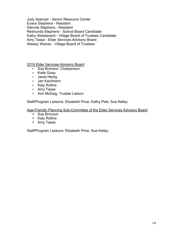Judy Spencer - Senior Resource Center Evans Stephens - Resident Glennie Stephens - Resident Reshunda Stephens - School Board Candidate Kathy Stokebrand - Village Board of Trustees Candidate Amy Tasse - Elder Services Advisory Board Wesley Warren - Village Board of Trustees

2019 Elder Services Advisory Board

- Sue Bronson, Chairperson
- Katie Gnau
- Janet Hertig
- Jan Kaufmann
- Katy Rollins
- Amy Tasse
- Ann McKaig, Trustee Liaison

Staff/Program Liaisons: Elizabeth Price, Kathy Platt, Sue Kelley

Age-Friendly Planning Sub-Committee of the Elder Services Advisory Board

- Sue Bronson
- Katy Rollins
- Amy Tasse

Staff/Program Liaisons: Elizabeth Price, Sue Kelley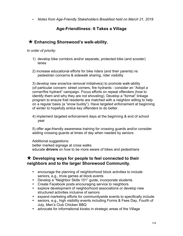• *Notes from Age-Friendly Stakeholders Breakfast held on March 21, 2019*

# **Age-Friendliness: It Takes a Village**

# ★ **Enhancing Shorewood's walk-ability.**

## *In order of priority:*

- 1) develop bike corridors and/or separate, protected bike (and scooter) lanes
- 2) increase educational efforts for bike riders (and their parents) re: pedestrian concerns & sidewalk sharing, rider visibility

3) develop new snow/ice removal initiative(s) to promote walk-ability (of particular concern: street corners, fire hydrants - consider an "Adopt a corner/fire hydrant" campaign. Focus efforts on repeat offenders (how to identify them and why they are not shoveling). Develop a "formal" linkage program to ensure frail residents are matched with a neighbor willing to help on a regular basis (a "snow buddy"). Have targeted enforcement at beginning of winter to hopefully entice key offenders to do better.

4) implement targeted enforcement days at the beginning & end of school year

5) offer age-friendly awareness training for crossing guards and/or consider adding crossing guards at times of day when needed by seniors

Additional suggestions: better marked signage at cross walks educate **drivers** on how to be more aware of bikes and pedestrians

## ★ **Developing ways for people to feel connected to their neighbors and to the larger Shorewood Community.**

- encourage the planning of neighborhood block activities to include seniors, e.g., trivia games at block events
- Develop a "Neighbor Skills 101" guide, incorporate students
- Create Facebook posts encouraging service to neighbors
- explore development of neighborhood associations or develop new structured activities inclusive of seniors
- expand marketing efforts for communitywide events to specifically include
- seniors, e.g., high visibility events including Forms & Fees Day, Fourth of July, Men's Club Chicken BBQ
- advocate for informational kiosks in strategic areas of the Village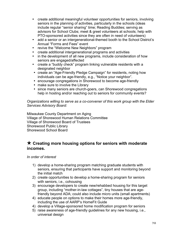- create additional meaningful volunteer opportunities for seniors, involving seniors in the planning of activities, particularly in the schools (ideas include regular "senior sharing" time; Reading Buddies; serving as advisors for School Clubs; meet & greet volunteers at schools; help with PTO-sponsored activities since they are often in need of volunteers)
- add a senior or an intergenerational-themed booth to the School District's Annual "Forms and Fees" event
- revive the "Welcome New Neighbors" program
- create additional intergenerational programs and activities
- in the development of all new programs, include consideration of how seniors are engaged/affected
- create a "buddy check" program linking vulnerable residents with a designated neighbor
- create an "Age-Friendly Pledge Campaign" for residents, noting how individuals can be age-friendly, e.g., "Notice your neighbor".
- encourage congregations in Shorewood to become age-friendly
- make sure to involve the Library
- since many seniors are church-goers, can Shorewood congregations help in hosting and/or reaching out to seniors for community events?

*Organizations willing to serve as a co-convener of this work group with the Elder Services Advisory Board:*

Milwaukee County Department on Aging Village of Shorewood Human Relations Committee Village of Shorewood Board of Trustees Shorewood Public Library Shorewood School Board

# ★ **Creating more housing options for seniors with moderate incomes.**

*In order of interest*

- 1) develop a home-sharing program matching graduate students with seniors, ensuring that participants have support and monitoring beyond the initial match
- 2) create opportunities to develop a home-sharing program for seniors with seniors, i.e., cohousing
- 3) encourage developers to create new/rehabbed housing for this target group, including "mother-in-law cottages", tiny houses that are agefriendly beyond ADA; could also include micro units (small apartments)
- 4) educate people on options to make their homes more age-friendly, including the use of AARP's HomeFit Guide
- 4) develop a Village-sponsored home modification program for seniors
- 5) raise awareness of age-friendly guidelines for any new housing, i.e., universal design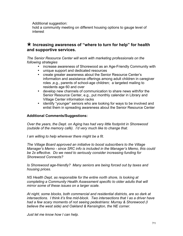Additional suggestion:

hold a community meeting on different housing options to gauge level of interest

## ★ **Increasing awareness of "where to turn for help" for health and supportive services.**

*The Senior Resource Center will work with marketing professionals on the following strategies*

- increase awareness of Shorewood as an Age-Friendly Community with
- unique support and dedicated resources
- create greater awareness about the Senior Resource Center's information and assistance offerings among adult children in caregiver roles ,e.g., parents of school-age children; a targeted mailing to residents age 60 and over
- develop new channels of communication to share news with/for the Senior Resource Center, e.g., put monthly calendar in Library and Village Center information racks
- identify "younger" seniors who are looking for ways to be involved and enlist them in spreading awareness about the Senior Resource Center

#### **Additional Comments/Suggestions:**

*Over the years, the Dept. on Aging has had very little footprint in Shorewood (outside of the memory café). I'd very much like to change that.* 

*I am willing to help wherever there might be a fit.*

*The Village Board approved an initiative to boost subscribers to the Village Manager's Memo - since SRC info is included in the Manager's Memo, this could be 2x effective. Do we need to seriously consider increasing funding for Shorewood Connects?*

*Is Shorewood age-friendly? Many seniors are being forced out by taxes and housing prices.*

*NS Health Dept, as responsible for the entire north shore, Is looking at completing a Community Health Assessment specific to older adults that will mirror some of these issues on a larger scale.*

*At night, some blocks, both commercial and residential districts, are so dark at intersections. I think it's fine mid-block. Two intersections that I as a driver have had a few scary moments of not seeing pedestrians: Murray & Shorewood (I believe the west side) and Oakland & Kensington, the NE corner.* 

*Just let me know how I can help.*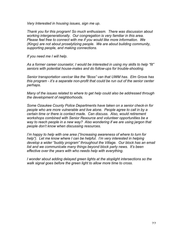*Very Interested in housing issues, sign me up.* 

*Thank you for this program! So much enthusiasm. There was discussion about working intergenerationally. Our congregation is very familiar in this area. Please feel free to connect with me if you would like more information. We (Kingo) are not about proselytizing people. We are about building community, supporting people, and making connections.*

*If you need me I will help.*

*As a former career counselor, I would be interested in using my skills to help "fit" seniors with potential house-mates and do follow-ups for trouble-shooting.* 

*Senior transportation van/car like the "Boss" van that UWM has. Elm Grove has this program - it's a separate non-profit that could be run out of the senior center perhaps.*

*Many of the issues related to where to get help could also be addressed through the development of neighborhoods.* 

*Some Ozaukee County Police Departments have taken on a senior check-in for people who are more vulnerable and live alone. People agree to call in by a certain time or there is contact made. Can discuss. Also, would retirement workshops combined with Senior Resource and volunteer opportunities be a way to reach people in a new way? Also wondering if we are using jargon that people don't know when discussing resources.* 

*I'm happy to help with one area ("Increasing awareness of where to turn for help"). Let me know where I can be helpful. I'm very interested in helping develop a wider "buddy program" throughout the Village. Our block has an email list and we communicate many things beyond block party news. It's been effective over the years with who needs help with everything.* 

*I wonder about adding delayed green lights at the stoplight intersections so the walk signal goes before the green light to allow more time to cross.*